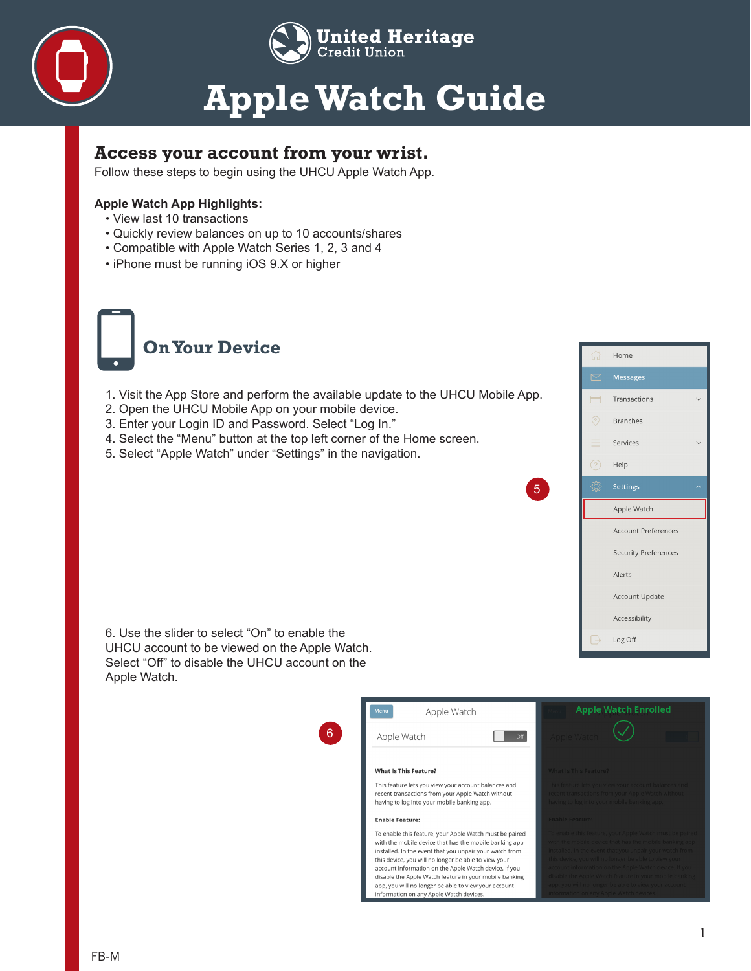

### **Apple Watch Guide**

### **Access your account from your wrist.**

Follow these steps to begin using the UHCU Apple Watch App.

#### **Apple Watch App Highlights:**

- View last 10 transactions
- Quickly review balances on up to 10 accounts/shares
- Compatible with Apple Watch Series 1, 2, 3 and 4
- iPhone must be running iOS 9.X or higher



- 1. Visit the App Store and perform the available update to the UHCU Mobile App.
- 2. Open the UHCU Mobile App on your mobile device.
- 3. Enter your Login ID and Password. Select "Log In."
- 4. Select the "Menu" button at the top left corner of the Home screen.
- 5. Select "Apple Watch" under "Settings" in the navigation.



6. Use the slider to select "On" to enable the UHCU account to be viewed on the Apple Watch. Select "Off" to disable the UHCU account on the Apple Watch.



5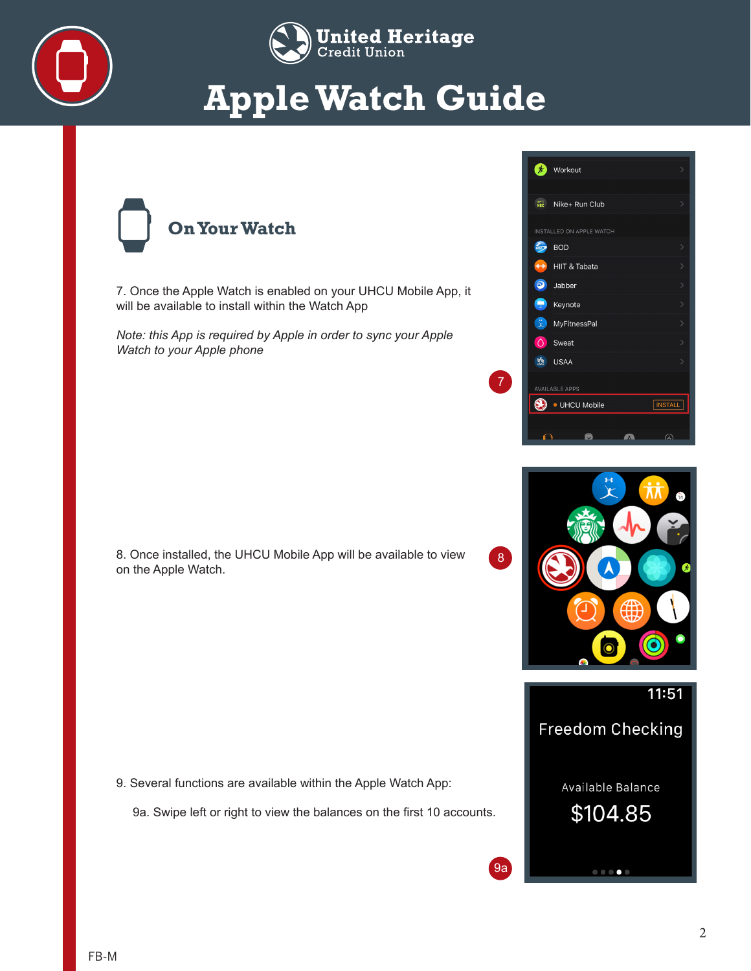



# **Apple Watch Guide**